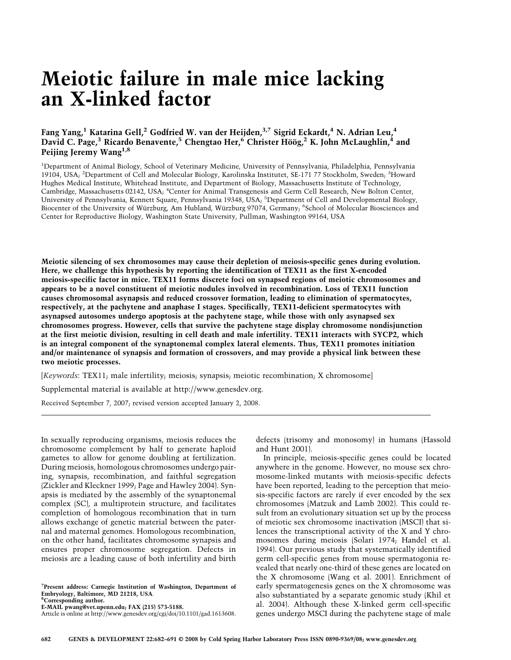# **Meiotic failure in male mice lacking an X-linked factor**

## **Fang Yang,1 Katarina Gell,2 Godfried W. van der Heijden,3,7 Sigrid Eckardt,4 N. Adrian Leu,4 David C. Page,3 Ricardo Benavente,5 Chengtao Her,6 Christer Höög,2 K. John McLaughlin,4 and Peijing Jeremy Wang1,8**

<sup>1</sup>Department of Animal Biology, School of Veterinary Medicine, University of Pennsylvania, Philadelphia, Pennsylvania 19104, USA; <sup>2</sup>Department of Cell and Molecular Biology, Karolinska Institutet, SE-171 77 Stockholm, Sweden; <sup>3</sup>Howard Hughes Medical Institute, Whitehead Institute, and Department of Biology, Massachusetts Institute of Technology, Cambridge, Massachusetts 02142, USA; <sup>4</sup>Center for Animal Transgenesis and Germ Cell Research, New Bolton Center, University of Pennsylvania, Kennett Square, Pennsylvania 19348, USA; <sup>5</sup>Department of Cell and Developmental Biology, Biocenter of the University of Würzburg, Am Hubland, Würzburg 97074, Germany; <sup>6</sup>School of Molecular Biosciences and Center for Reproductive Biology, Washington State University, Pullman, Washington 99164, USA

**Meiotic silencing of sex chromosomes may cause their depletion of meiosis-specific genes during evolution. Here, we challenge this hypothesis by reporting the identification of TEX11 as the first X-encoded meiosis-specific factor in mice. TEX11 forms discrete foci on synapsed regions of meiotic chromosomes and appears to be a novel constituent of meiotic nodules involved in recombination. Loss of TEX11 function causes chromosomal asynapsis and reduced crossover formation, leading to elimination of spermatocytes, respectively, at the pachytene and anaphase I stages. Specifically, TEX11-deficient spermatocytes with asynapsed autosomes undergo apoptosis at the pachytene stage, while those with only asynapsed sex chromosomes progress. However, cells that survive the pachytene stage display chromosome nondisjunction at the first meiotic division, resulting in cell death and male infertility. TEX11 interacts with SYCP2, which is an integral component of the synaptonemal complex lateral elements. Thus, TEX11 promotes initiation and/or maintenance of synapsis and formation of crossovers, and may provide a physical link between these two meiotic processes.**

[*Keywords*: TEX11; male infertility; meiosis; synapsis; meiotic recombination; X chromosome]

Supplemental material is available at http://www.genesdev.org.

Received September 7, 2007; revised version accepted January 2, 2008.

In sexually reproducing organisms, meiosis reduces the chromosome complement by half to generate haploid gametes to allow for genome doubling at fertilization. During meiosis, homologous chromosomes undergo pairing, synapsis, recombination, and faithful segregation (Zickler and Kleckner 1999; Page and Hawley 2004). Synapsis is mediated by the assembly of the synaptonemal complex (SC), a multiprotein structure, and facilitates completion of homologous recombination that in turn allows exchange of genetic material between the paternal and maternal genomes. Homologous recombination, on the other hand, facilitates chromosome synapsis and ensures proper chromosome segregation. Defects in meiosis are a leading cause of both infertility and birth

**7 Present address: Carnegie Institution of Washington, Department of Embryology, Baltimore, MD 21218, USA**. **<sup>8</sup> Corresponding author.**

**E-MAIL pwang@vet.upenn.edu; FAX (215) 573-5188.**

Article is online at http://www.genesdev.org/cgi/doi/10.1101/gad.1613608.

defects (trisomy and monosomy) in humans (Hassold and Hunt 2001).

In principle, meiosis-specific genes could be located anywhere in the genome. However, no mouse sex chromosome-linked mutants with meiosis-specific defects have been reported, leading to the perception that meiosis-specific factors are rarely if ever encoded by the sex chromosomes (Matzuk and Lamb 2002). This could result from an evolutionary situation set up by the process of meiotic sex chromosome inactivation (MSCI) that silences the transcriptional activity of the X and Y chromosomes during meiosis (Solari 1974; Handel et al. 1994). Our previous study that systematically identified germ cell-specific genes from mouse spermatogonia revealed that nearly one-third of these genes are located on the X chromosome (Wang et al. 2001). Enrichment of early spermatogenesis genes on the X chromosome was also substantiated by a separate genomic study (Khil et al. 2004). Although these X-linked germ cell-specific genes undergo MSCI during the pachytene stage of male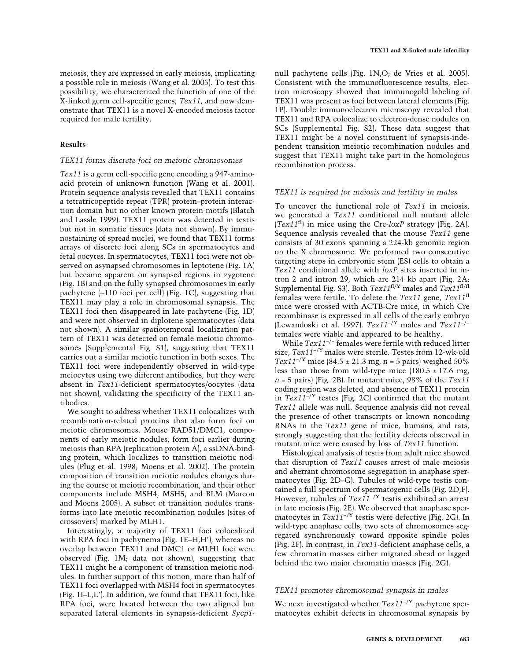meiosis, they are expressed in early meiosis, implicating a possible role in meiosis (Wang et al. 2005). To test this possibility, we characterized the function of one of the X-linked germ cell-specific genes, *Tex11*, and now demonstrate that TEX11 is a novel X-encoded meiosis factor required for male fertility.

## **Results**

## *TEX11 forms discrete foci on meiotic chromosomes*

*Tex11* is a germ cell-specific gene encoding a 947-aminoacid protein of unknown function (Wang et al. 2001). Protein sequence analysis revealed that TEX11 contains a tetratricopeptide repeat (TPR) protein–protein interaction domain but no other known protein motifs (Blatch and Lassle 1999). TEX11 protein was detected in testis but not in somatic tissues (data not shown). By immunostaining of spread nuclei, we found that TEX11 forms arrays of discrete foci along SCs in spermatocytes and fetal oocytes. In spermatocytes, TEX11 foci were not observed on asynapsed chromosomes in leptotene (Fig. 1A) but became apparent on synapsed regions in zygotene (Fig. 1B) and on the fully synapsed chromosomes in early pachytene (∼110 foci per cell) (Fig. 1C), suggesting that TEX11 may play a role in chromosomal synapsis. The TEX11 foci then disappeared in late pachytene (Fig. 1D) and were not observed in diplotene spermatocytes (data not shown). A similar spatiotemporal localization pattern of TEX11 was detected on female meiotic chromosomes (Supplemental Fig. S1), suggesting that TEX11 carries out a similar meiotic function in both sexes. The TEX11 foci were independently observed in wild-type meiocytes using two different antibodies, but they were absent in *Tex11*-deficient spermatocytes/oocytes (data not shown), validating the specificity of the TEX11 antibodies.

We sought to address whether TEX11 colocalizes with recombination-related proteins that also form foci on meiotic chromosomes. Mouse RAD51/DMC1, components of early meiotic nodules, form foci earlier during meiosis than RPA (replication protein A), a ssDNA-binding protein, which localizes to transition meiotic nodules (Plug et al. 1998; Moens et al. 2002). The protein composition of transition meiotic nodules changes during the course of meiotic recombination, and their other components include MSH4, MSH5, and BLM (Marcon and Moens 2005). A subset of transition nodules transforms into late meiotic recombination nodules (sites of crossovers) marked by MLH1.

Interestingly, a majority of TEX11 foci colocalized with RPA foci in pachynema (Fig. 1E-H,H'), whereas no overlap between TEX11 and DMC1 or MLH1 foci were observed (Fig. 1M; data not shown), suggesting that TEX11 might be a component of transition meiotic nodules. In further support of this notion, more than half of TEX11 foci overlapped with MSH4 foci in spermatocytes (Fig. 1I–L,L). In addition, we found that TEX11 foci, like RPA foci, were located between the two aligned but separated lateral elements in synapsis-deficient *Sycp1*- null pachytene cells (Fig. 1N,O; de Vries et al. 2005). Consistent with the immunofluorescence results, electron microscopy showed that immunogold labeling of TEX11 was present as foci between lateral elements (Fig. 1P). Double immunoelectron microscopy revealed that TEX11 and RPA colocalize to electron-dense nodules on SCs (Supplemental Fig. S2). These data suggest that TEX11 might be a novel constituent of synapsis-independent transition meiotic recombination nodules and suggest that TEX11 might take part in the homologous recombination process.

## *TEX11 is required for meiosis and fertility in males*

To uncover the functional role of *Tex11* in meiosis, we generated a *Tex11* conditional null mutant allele (*Tex11*fl) in mice using the Cre-*loxP* strategy (Fig. 2A). Sequence analysis revealed that the mouse *Tex11* gene consists of 30 exons spanning a 224-kb genomic region on the X chromosome. We performed two consecutive targeting steps in embryonic stem (ES) cells to obtain a *Tex11* conditional allele with *loxP* sites inserted in intron 2 and intron 29, which are 214 kb apart (Fig. 2A; Supplemental Fig. S3). Both *Tex11*fl/Y males and *Tex11*fl/fl females were fertile. To delete the *Tex11* gene, *Tex11*fl mice were crossed with ACTB-Cre mice, in which Cre recombinase is expressed in all cells of the early embryo (Lewandoski et al. 1997). *Tex11*−/Y males and *Tex11*−/− females were viable and appeared to be healthy.

While *Tex11*−/− females were fertile with reduced litter size, *Tex11*−/Y males were sterile. Testes from 12-wk-old *Tex11*−/Y mice (84.5 ± 21.3 mg, *n* = 5 pairs) weighed 50% less than those from wild-type mice  $(180.5 \pm 17.6 \text{ mg})$ *n* = 5 pairs) (Fig. 2B). In mutant mice, 98% of the *Tex11* coding region was deleted, and absence of TEX11 protein in *Tex11*−/Y testes (Fig. 2C) confirmed that the mutant *Tex11* allele was null. Sequence analysis did not reveal the presence of other transcripts or known noncoding RNAs in the *Tex11* gene of mice, humans, and rats, strongly suggesting that the fertility defects observed in mutant mice were caused by loss of *Tex11* function.

Histological analysis of testis from adult mice showed that disruption of *Tex11* causes arrest of male meiosis and aberrant chromosome segregation in anaphase spermatocytes (Fig. 2D–G). Tubules of wild-type testis contained a full spectrum of spermatogenic cells (Fig. 2D,F). However, tubules of *Tex11*−/Y testis exhibited an arrest in late meiosis (Fig. 2E). We observed that anaphase spermatocytes in *Tex11*−/Y testis were defective (Fig. 2G). In wild-type anaphase cells, two sets of chromosomes segregated synchronously toward opposite spindle poles (Fig. 2F). In contrast, in *Tex11*-deficient anaphase cells, a few chromatin masses either migrated ahead or lagged behind the two major chromatin masses (Fig. 2G).

## *TEX11 promotes chromosomal synapsis in males*

We next investigated whether *Tex11*−/Y pachytene spermatocytes exhibit defects in chromosomal synapsis by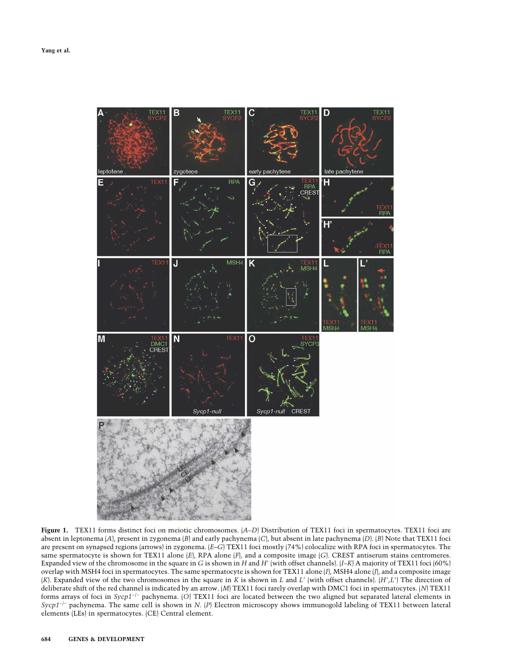

**Figure 1.** TEX11 forms distinct foci on meiotic chromosomes. (*A*–*D*) Distribution of TEX11 foci in spermatocytes. TEX11 foci are absent in leptonema (*A*), present in zygonema (*B*) and early pachynema (*C*), but absent in late pachynema (*D*). (*B*) Note that TEX11 foci are present on synapsed regions (arrows) in zygonema. (*E*–*G*) TEX11 foci mostly (74%) colocalize with RPA foci in spermatocytes. The same spermatocyte is shown for TEX11 alone  $(E)$ , RPA alone  $(F)$ , and a composite image  $(G)$ . CREST antiserum stains centromeres. Expanded view of the chromosome in the square in *G* is shown in *H* and *H* (with offset channels). (*I*–*K*) A majority of TEX11 foci (60%) overlap with MSH4 foci in spermatocytes. The same spermatocyte is shown for TEX11 alone (*I*), MSH4 alone (*J*), and a composite image (*K*). Expanded view of the two chromosomes in the square in *K* is shown in *L* and *L* (with offset channels). (*H*,*L*) The direction of deliberate shift of the red channel is indicated by an arrow. (*M*) TEX11 foci rarely overlap with DMC1 foci in spermatocytes. (*N*) TEX11 forms arrays of foci in *Sycp1*−/− pachynema. (*O*) TEX11 foci are located between the two aligned but separated lateral elements in *Sycp1*−/− pachynema. The same cell is shown in *N*. (*P*) Electron microscopy shows immunogold labeling of TEX11 between lateral elements (LEs) in spermatocytes. (CE) Central element.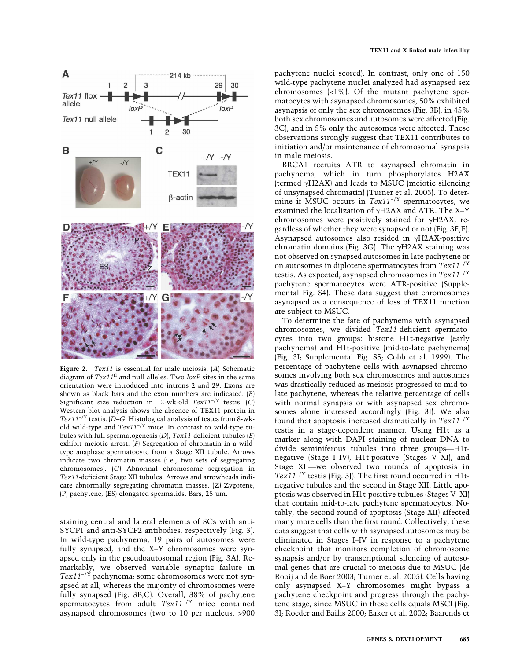

**Figure 2.** *Tex11* is essential for male meiosis. (*A*) Schematic diagram of *Tex11*fl and null alleles. Two *loxP* sites in the same orientation were introduced into introns 2 and 29. Exons are shown as black bars and the exon numbers are indicated. (*B*) Significant size reduction in 12-wk-old *Tex11*−/Y testis. (*C*) Western blot analysis shows the absence of TEX11 protein in *Tex11*−/Y testis. (*D*–*G*) Histological analysis of testes from 8-wkold wild-type and *Tex11*−/Y mice. In contrast to wild-type tubules with full spermatogenesis (*D*), *Tex11-*deficient tubules (*E*) exhibit meiotic arrest. (*F*) Segregation of chromatin in a wildtype anaphase spermatocyte from a Stage XII tubule. Arrows indicate two chromatin masses (i.e., two sets of segregating chromosomes). (*G*) Abnormal chromosome segregation in *Tex11-*deficient Stage XII tubules. Arrows and arrowheads indicate abnormally segregating chromatin masses. (Z) Zygotene, (P) pachytene, (ES) elongated spermatids. Bars, 25 µm.

staining central and lateral elements of SCs with anti-SYCP1 and anti-SYCP2 antibodies, respectively (Fig. 3). In wild-type pachynema, 19 pairs of autosomes were fully synapsed, and the X–Y chromosomes were synapsed only in the pseudoautosomal region (Fig. 3A). Remarkably, we observed variable synaptic failure in *Tex11*−/Y pachynema; some chromosomes were not synapsed at all, whereas the majority of chromosomes were fully synapsed (Fig. 3B,C). Overall, 38% of pachytene spermatocytes from adult *Tex11*−/Y mice contained asynapsed chromosomes (two to 10 per nucleus, >900 pachytene nuclei scored). In contrast, only one of 150 wild-type pachytene nuclei analyzed had asynapsed sex chromosomes (<1%). Of the mutant pachytene spermatocytes with asynapsed chromosomes, 50% exhibited asynapsis of only the sex chromosomes (Fig. 3B), in 45% both sex chromosomes and autosomes were affected (Fig. 3C), and in 5% only the autosomes were affected. These observations strongly suggest that TEX11 contributes to initiation and/or maintenance of chromosomal synapsis in male meiosis.

BRCA1 recruits ATR to asynapsed chromatin in pachynema, which in turn phosphorylates H2AX (termed  $\gamma$ H2AX) and leads to MSUC (meiotic silencing of unsynapsed chromatin) (Turner et al. 2005). To determine if MSUC occurs in *Tex11*−/Y spermatocytes, we examined the localization of  $\gamma$ H2AX and ATR. The X-Y chromosomes were positively stained for  $\gamma$ H2AX, regardless of whether they were synapsed or not (Fig. 3E,F). Asynapsed autosomes also resided in  $\gamma$ H2AX-positive chromatin domains (Fig. 3G). The  $\gamma$ H2AX staining was not observed on synapsed autosomes in late pachytene or on autosomes in diplotene spermatocytes from *Tex11*−/Y testis. As expected, asynapsed chromosomes in *Tex11*−/Y pachytene spermatocytes were ATR-positive (Supplemental Fig. S4). These data suggest that chromosomes asynapsed as a consequence of loss of TEX11 function are subject to MSUC.

To determine the fate of pachynema with asynapsed chromosomes, we divided *Tex11*-deficient spermatocytes into two groups: histone H1t-negative (early pachynema) and H1t-positive (mid-to-late pachynema) (Fig. 3I; Supplemental Fig. S5; Cobb et al. 1999). The percentage of pachytene cells with asynapsed chromosomes involving both sex chromosomes and autosomes was drastically reduced as meiosis progressed to mid-tolate pachytene, whereas the relative percentage of cells with normal synapsis or with asynapsed sex chromosomes alone increased accordingly (Fig. 3I). We also found that apoptosis increased dramatically in *Tex11*−/Y testis in a stage-dependent manner. Using H1t as a marker along with DAPI staining of nuclear DNA to divide seminiferous tubules into three groups—H1tnegative (Stage I–IV), H1t-positive (Stages V–XI), and Stage XII—we observed two rounds of apoptosis in *Tex11*−/Y testis (Fig. 3J). The first round occurred in H1tnegative tubules and the second in Stage XII. Little apoptosis was observed in H1t-positive tubules (Stages V–XI) that contain mid-to-late pachytene spermatocytes. Notably, the second round of apoptosis (Stage XII) affected many more cells than the first round. Collectively, these data suggest that cells with asynapsed autosomes may be eliminated in Stages I–IV in response to a pachytene checkpoint that monitors completion of chromosome synapsis and/or by transcriptional silencing of autosomal genes that are crucial to meiosis due to MSUC (de Rooij and de Boer 2003; Turner et al. 2005). Cells having only asynapsed X–Y chromosomes might bypass a pachytene checkpoint and progress through the pachytene stage, since MSUC in these cells equals MSCI (Fig. 3I; Roeder and Bailis 2000; Eaker et al. 2002; Baarends et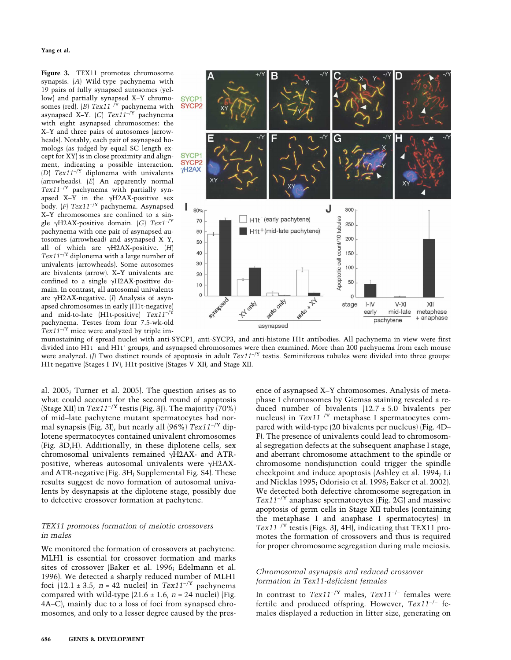**Yang et al.**

**Figure 3.** TEX11 promotes chromosome synapsis. (*A*) Wild-type pachynema with 19 pairs of fully synapsed autosomes (yellow) and partially synapsed X–Y chromosomes (red). (*B*) *Tex11*−/Y pachynema with asynapsed X–Y. (*C*) *Tex11*−/Y pachynema with eight asynapsed chromosomes: the X–Y and three pairs of autosomes (arrowheads). Notably, each pair of asynapsed homologs (as judged by equal SC length except for XY) is in close proximity and alignment, indicating a possible interaction. (*D*) *Tex11*−/Y diplonema with univalents (arrowheads). (*E*) An apparently normal *Tex11*−/Y pachynema with partially synapsed X-Y in the  $\gamma$ H2AX-positive sex body. (*F*) *Tex11*−/Y pachynema. Asynapsed X–Y chromosomes are confined to a single H2AX-positive domain. (*G*) *Tex1*−/Y pachynema with one pair of asynapsed autosomes (arrowhead) and asynapsed X–Y, all of which are  $\gamma$ H2AX-positive.  $|H|$ *Tex11*−/Y diplonema with a large number of univalents (arrowheads). Some autosomes are bivalents (arrow). X–Y univalents are confined to a single  $\gamma$ H2AX-positive domain. In contrast, all autosomal univalents are  $\gamma$ H2AX-negative. (*I*) Analysis of asynapsed chromosomes in early (H1t-negative) and mid-to-late (H1t-positive) *Tex11*−/Y pachynema. Testes from four 7.5-wk-old *Tex11*−/Y mice were analyzed by triple im-



munostaining of spread nuclei with anti-SYCP1, anti-SYCP3, and anti-histone H1t antibodies. All pachynema in view were first divided into H1t− and H1t+ groups, and asynapsed chromosomes were then examined. More than 200 pachynema from each mouse were analyzed. (*J*) Two distinct rounds of apoptosis in adult *Tex11*−/Y testis. Seminiferous tubules were divided into three groups: H1t-negative (Stages I–IV), H1t-positive (Stages V–XI), and Stage XII.

al. 2005; Turner et al. 2005). The question arises as to what could account for the second round of apoptosis (Stage XII) in *Tex11*−/Y testis (Fig. 3J). The majority (70%) of mid–late pachytene mutant spermatocytes had normal synapsis (Fig. 3I), but nearly all (96%) *Tex11*−/Y diplotene spermatocytes contained univalent chromosomes (Fig. 3D,H). Additionally, in these diplotene cells, sex chromosomal univalents remained  $\gamma$ H2AX- and ATRpositive, whereas autosomal univalents were  $\gamma$ H2AXand ATR-negative (Fig. 3H; Supplemental Fig. S4). These results suggest de novo formation of autosomal univalents by desynapsis at the diplotene stage, possibly due to defective crossover formation at pachytene.

## *TEX11 promotes formation of meiotic crossovers in males*

We monitored the formation of crossovers at pachytene. MLH1 is essential for crossover formation and marks sites of crossover (Baker et al. 1996; Edelmann et al. 1996). We detected a sharply reduced number of MLH1 foci (12.1 ± 3.5, *n* = 42 nuclei) in  $Tex11^{-/Y}$  pachynema compared with wild-type  $(21.6 \pm 1.6, n = 24$  nuclei) (Fig. 4A–C), mainly due to a loss of foci from synapsed chromosomes, and only to a lesser degree caused by the presence of asynapsed X–Y chromosomes. Analysis of metaphase I chromosomes by Giemsa staining revealed a reduced number of bivalents  $(12.7 \pm 5.0)$  bivalents per nucleus) in *Tex11*−/Y metaphase I spermatocytes compared with wild-type (20 bivalents per nucleus) (Fig. 4D– F). The presence of univalents could lead to chromosomal segregation defects at the subsequent anaphase I stage, and aberrant chromosome attachment to the spindle or chromosome nondisjunction could trigger the spindle checkpoint and induce apoptosis (Ashley et al. 1994; Li and Nicklas 1995; Odorisio et al. 1998; Eaker et al. 2002). We detected both defective chromosome segregation in *Tex11*−/Y anaphase spermatocytes (Fig. 2G) and massive apoptosis of germ cells in Stage XII tubules (containing the metaphase I and anaphase I spermatocytes) in *Tex11*−/Y testis (Figs. 3J, 4H), indicating that TEX11 promotes the formation of crossovers and thus is required for proper chromosome segregation during male meiosis.

## *Chromosomal asynapsis and reduced crossover formation in Tex11-deficient females*

In contrast to *Tex11*−/Y males, *Tex11*−/− females were fertile and produced offspring. However, *Tex11*−/− females displayed a reduction in litter size, generating on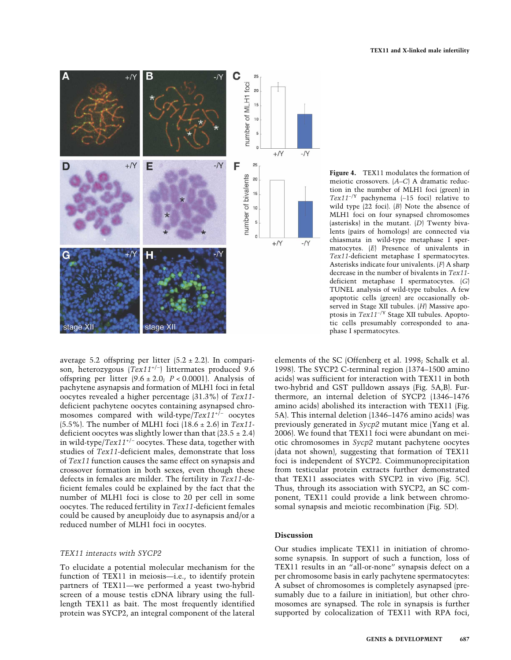

average 5.2 offspring per litter  $(5.2 \pm 2.2)$ . In comparison, heterozygous (*Tex11*+/− ) littermates produced 9.6 offspring per litter  $(9.6 \pm 2.0; P < 0.0001)$ . Analysis of pachytene asynapsis and formation of MLH1 foci in fetal oocytes revealed a higher percentage (31.3%) of *Tex11* deficient pachytene oocytes containing asynapsed chromosomes compared with wild-type/*Tex11*+/− oocytes (5.5%). The number of MLH1 foci (18.6 ± 2.6) in *Tex11* deficient oocytes was slightly lower than that  $(23.5 \pm 2.4)$ in wild-type/*Tex11*+/− oocytes. These data, together with studies of *Tex11*-deficient males, demonstrate that loss of *Tex11* function causes the same effect on synapsis and crossover formation in both sexes, even though these defects in females are milder. The fertility in *Tex11*-deficient females could be explained by the fact that the number of MLH1 foci is close to 20 per cell in some oocytes. The reduced fertility in *Tex11*-deficient females could be caused by aneuploidy due to asynapsis and/or a reduced number of MLH1 foci in oocytes.

## *TEX11 interacts with SYCP2*

To elucidate a potential molecular mechanism for the function of TEX11 in meiosis—i.e., to identify protein partners of TEX11—we performed a yeast two-hybrid screen of a mouse testis cDNA library using the fulllength TEX11 as bait. The most frequently identified protein was SYCP2, an integral component of the lateral

**Figure 4.** TEX11 modulates the formation of meiotic crossovers. (*A*–*C*) A dramatic reduction in the number of MLH1 foci (green) in *Tex11*−/Y pachynema (∼15 foci) relative to wild type (22 foci). (*B*) Note the absence of MLH1 foci on four synapsed chromosomes (asterisks) in the mutant. (*D*) Twenty bivalents (pairs of homologs) are connected via chiasmata in wild-type metaphase I spermatocytes. (*E*) Presence of univalents in *Tex11*-deficient metaphase I spermatocytes. Asterisks indicate four univalents. (*F*) A sharp decrease in the number of bivalents in *Tex11* deficient metaphase I spermatocytes. (*G*) TUNEL analysis of wild-type tubules. A few apoptotic cells (green) are occasionally observed in Stage XII tubules. (*H*) Massive apoptosis in *Tex11*−/Y Stage XII tubules. Apoptotic cells presumably corresponded to anaphase I spermatocytes.

elements of the SC (Offenberg et al. 1998; Schalk et al. 1998). The SYCP2 C-terminal region (1374–1500 amino acids) was sufficient for interaction with TEX11 in both two-hybrid and GST pulldown assays (Fig. 5A,B). Furthermore, an internal deletion of SYCP2 (1346–1476 amino acids) abolished its interaction with TEX11 (Fig. 5A). This internal deletion (1346–1476 amino acids) was previously generated in *Sycp2* mutant mice (Yang et al. 2006). We found that TEX11 foci were abundant on meiotic chromosomes in *Sycp2* mutant pachytene oocytes (data not shown), suggesting that formation of TEX11 foci is independent of SYCP2. Coimmunoprecipitation from testicular protein extracts further demonstrated that TEX11 associates with SYCP2 in vivo (Fig. 5C). Thus, through its association with SYCP2, an SC component, TEX11 could provide a link between chromosomal synapsis and meiotic recombination (Fig. 5D).

## **Discussion**

Our studies implicate TEX11 in initiation of chromosome synapsis. In support of such a function, loss of TEX11 results in an "all-or-none" synapsis defect on a per chromosome basis in early pachytene spermatocytes: A subset of chromosomes is completely asynapsed (presumably due to a failure in initiation), but other chromosomes are synapsed. The role in synapsis is further supported by colocalization of TEX11 with RPA foci,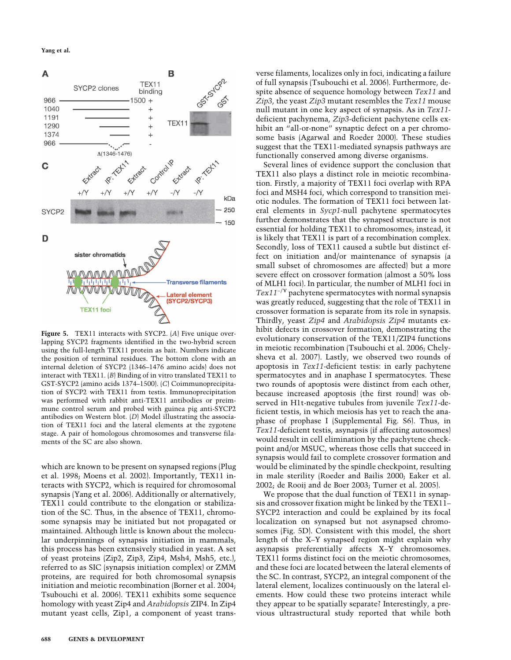**Yang et al.**



**Figure 5.** TEX11 interacts with SYCP2. (*A*) Five unique overlapping SYCP2 fragments identified in the two-hybrid screen using the full-length TEX11 protein as bait. Numbers indicate the position of terminal residues. The bottom clone with an internal deletion of SYCP2 (1346–1476 amino acids) does not interact with TEX11. (*B*) Binding of in vitro translated TEX11 to GST-SYCP2 (amino acids 1374–1500). (*C*) Coimmunoprecipitation of SYCP2 with TEX11 from testis. Immunoprecipitation was performed with rabbit anti-TEX11 antibodies or preimmune control serum and probed with guinea pig anti-SYCP2 antibodies on Western blot. (*D*) Model illustrating the association of TEX11 foci and the lateral elements at the zygotene stage. A pair of homologous chromosomes and transverse filaments of the SC are also shown.

which are known to be present on synapsed regions (Plug et al. 1998; Moens et al. 2002). Importantly, TEX11 interacts with SYCP2, which is required for chromosomal synapsis (Yang et al. 2006). Additionally or alternatively, TEX11 could contribute to the elongation or stabilization of the SC. Thus, in the absence of TEX11, chromosome synapsis may be initiated but not propagated or maintained. Although little is known about the molecular underpinnings of synapsis initiation in mammals, this process has been extensively studied in yeast. A set of yeast proteins (Zip2, Zip3, Zip4, Msh4, Msh5, etc.), referred to as SIC (synapsis initiation complex) or ZMM proteins, are required for both chromosomal synapsis initiation and meiotic recombination (Borner et al. 2004; Tsubouchi et al. 2006). TEX11 exhibits some sequence homology with yeast Zip4 and *Arabidopsis* ZIP4. In Zip4 mutant yeast cells, Zip1, a component of yeast transverse filaments, localizes only in foci, indicating a failure of full synapsis (Tsubouchi et al. 2006). Furthermore, despite absence of sequence homology between *Tex11* and *Zip3*, the yeast *Zip3* mutant resembles the *Tex11* mouse null mutant in one key aspect of synapsis. As in *Tex11* deficient pachynema, *Zip3*-deficient pachytene cells exhibit an "all-or-none" synaptic defect on a per chromosome basis (Agarwal and Roeder 2000). These studies suggest that the TEX11-mediated synapsis pathways are functionally conserved among diverse organisms.

Several lines of evidence support the conclusion that TEX11 also plays a distinct role in meiotic recombination. Firstly, a majority of TEX11 foci overlap with RPA foci and MSH4 foci, which correspond to transition meiotic nodules. The formation of TEX11 foci between lateral elements in *Sycp1*-null pachytene spermatocytes further demonstrates that the synapsed structure is not essential for holding TEX11 to chromosomes; instead, it is likely that TEX11 is part of a recombination complex. Secondly, loss of TEX11 caused a subtle but distinct effect on initiation and/or maintenance of synapsis (a small subset of chromosomes are affected) but a more severe effect on crossover formation (almost a 50% loss of MLH1 foci). In particular, the number of MLH1 foci in *Tex11*−/Y pachytene spermatocytes with normal synapsis was greatly reduced, suggesting that the role of TEX11 in crossover formation is separate from its role in synapsis. Thirdly, yeast *Zip4* and *Arabidopsis Zip4* mutants exhibit defects in crossover formation, demonstrating the evolutionary conservation of the TEX11/ZIP4 functions in meiotic recombination (Tsubouchi et al. 2006; Chelysheva et al. 2007). Lastly, we observed two rounds of apoptosis in *Tex11*-deficient testis: in early pachytene spermatocytes and in anaphase I spermatocytes. These two rounds of apoptosis were distinct from each other, because increased apoptosis (the first round) was observed in H1t-negative tubules from juvenile *Tex11*-deficient testis, in which meiosis has yet to reach the anaphase of prophase I (Supplemental Fig. S6). Thus, in *Tex11*-deficient testis, asynapsis (if affecting autosomes) would result in cell elimination by the pachytene checkpoint and/or MSUC, whereas those cells that succeed in synapsis would fail to complete crossover formation and would be eliminated by the spindle checkpoint, resulting in male sterility (Roeder and Bailis 2000; Eaker et al. 2002; de Rooij and de Boer 2003; Turner et al. 2005).

We propose that the dual function of TEX11 in synapsis and crossover fixation might be linked by the TEX11– SYCP2 interaction and could be explained by its focal localization on synapsed but not asynapsed chromosomes (Fig. 5D). Consistent with this model, the short length of the X–Y synapsed region might explain why asynapsis preferentially affects X–Y chromosomes. TEX11 forms distinct foci on the meiotic chromosomes, and these foci are located between the lateral elements of the SC. In contrast, SYCP2, an integral component of the lateral element, localizes continuously on the lateral elements. How could these two proteins interact while they appear to be spatially separate? Interestingly, a previous ultrastructural study reported that while both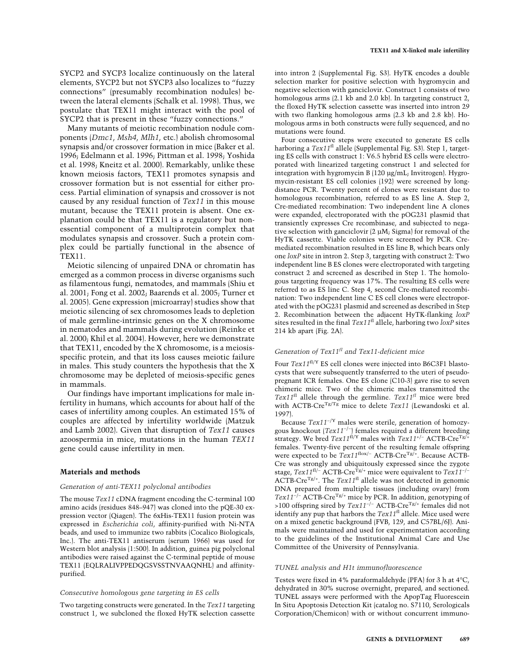SYCP2 and SYCP3 localize continuously on the lateral elements, SYCP2 but not SYCP3 also localizes to "fuzzy connections" (presumably recombination nodules) between the lateral elements (Schalk et al. 1998). Thus, we postulate that TEX11 might interact with the pool of SYCP2 that is present in these "fuzzy connections."

Many mutants of meiotic recombination nodule components (*Dmc1*, *Msh4*, *Mlh1*, etc.) abolish chromosomal synapsis and/or crossover formation in mice (Baker et al. 1996; Edelmann et al. 1996; Pittman et al. 1998; Yoshida et al. 1998; Kneitz et al. 2000). Remarkably, unlike these known meiosis factors, TEX11 promotes synapsis and crossover formation but is not essential for either process. Partial elimination of synapsis and crossover is not caused by any residual function of *Tex11* in this mouse mutant, because the TEX11 protein is absent. One explanation could be that TEX11 is a regulatory but nonessential component of a multiprotein complex that modulates synapsis and crossover. Such a protein complex could be partially functional in the absence of TEX11.

Meiotic silencing of unpaired DNA or chromatin has emerged as a common process in diverse organisms such as filamentous fungi, nematodes, and mammals (Shiu et al. 2001; Fong et al. 2002; Baarends et al. 2005; Turner et al. 2005). Gene expression (microarray) studies show that meiotic silencing of sex chromosomes leads to depletion of male germline-intrinsic genes on the X chromosome in nematodes and mammals during evolution (Reinke et al. 2000; Khil et al. 2004). However, here we demonstrate that TEX11, encoded by the X chromosome, is a meiosisspecific protein, and that its loss causes meiotic failure in males. This study counters the hypothesis that the X chromosome may be depleted of meiosis-specific genes in mammals.

Our findings have important implications for male infertility in humans, which accounts for about half of the cases of infertility among couples. An estimated 15% of couples are affected by infertility worldwide (Matzuk and Lamb 2002). Given that disruption of *Tex11* causes azoospermia in mice, mutations in the human *TEX11* gene could cause infertility in men.

#### **Materials and methods**

#### *Generation of anti-TEX11 polyclonal antibodies*

The mouse *Tex11* cDNA fragment encoding the C-terminal 100 amino acids (residues 848–947) was cloned into the pQE-30 expression vector (Qiagen). The 6xHis-TEX11 fusion protein was expressed in *Escherichia coli*, affinity-purified with Ni-NTA beads, and used to immunize two rabbits (Cocalico Biologicals, Inc.). The anti-TEX11 antiserum (serum 1966) was used for Western blot analysis (1:500). In addition, guinea pig polyclonal antibodies were raised against the C-terminal peptide of mouse TEX11 (EQLRALIVPPEDQGSVSSTNVAAQNHL) and affinitypurified.

#### *Consecutive homologous gene targeting in ES cells*

Two targeting constructs were generated. In the *Tex11* targeting construct 1, we subcloned the floxed HyTK selection cassette into intron 2 (Supplemental Fig. S3). HyTK encodes a double selection marker for positive selection with hygromycin and negative selection with ganciclovir. Construct 1 consists of two homologous arms  $(2.1 \text{ kb}$  and  $(2.0 \text{ kb})$ . In targeting construct  $(2.0 \text{ kb})$ the floxed HyTK selection cassette was inserted into intron 29 with two flanking homologous arms (2.3 kb and 2.8 kb). Homologous arms in both constructs were fully sequenced, and no mutations were found.

Four consecutive steps were executed to generate ES cells harboring a *Tex11*fl allele (Supplemental Fig. S3). Step 1, targeting ES cells with construct 1: V6.5 hybrid ES cells were electroporated with linearized targeting construct 1 and selected for integration with hygromycin B (120 µg/mL; Invitrogen). Hygromycin-resistant ES cell colonies (192) were screened by longdistance PCR. Twenty percent of clones were resistant due to homologous recombination, referred to as ES line A. Step 2, Cre-mediated recombination: Two independent line A clones were expanded, electroporated with the pOG231 plasmid that transiently expresses Cre recombinase, and subjected to negative selection with ganciclovir (2 µM; Sigma) for removal of the HyTK cassette. Viable colonies were screened by PCR. Cremediated recombination resulted in ES line B, which bears only one *loxP* site in intron 2. Step 3, targeting with construct 2: Two independent line B ES clones were electroporated with targeting construct 2 and screened as described in Step 1. The homologous targeting frequency was 17%. The resulting ES cells were referred to as ES line C. Step 4, second Cre-mediated recombination: Two independent line C ES cell clones were electroporated with the pOG231 plasmid and screened as described in Step 2. Recombination between the adjacent HyTK-flanking *loxP* sites resulted in the final *Tex11*fl allele, harboring two *loxP* sites 214 kb apart (Fig. 2A).

## *Generation of Tex11fl and Tex11-deficient mice*

Four *Tex11<sup>fl/Y</sup>* ES cell clones were injected into B6C3F1 blastocysts that were subsequently transferred to the uteri of pseudopregnant ICR females. One ES clone (C10-3) gave rise to seven chimeric mice. Two of the chimeric males transmitted the *Tex11*fl allele through the germline. *Tex11fl* mice were bred with ACTB-Cre<sup>Tg/Tg</sup> mice to delete *Tex11* (Lewandoski et al. 1997).

Because *Tex11*−/Y males were sterile, generation of homozygous knockout (*Tex11*−/− ) females required a different breeding strategy. We bred *Tex11*fl/Y males with *Tex11*+/− ACTB-CreTg/+ females. Twenty-five percent of the resulting female offspring were expected to be  $Tex11^{flox/-}$  ACTB-Cre<sup>Tg/+</sup>. Because ACTB-Cre was strongly and ubiquitously expressed since the zygote stage, *Tex11<sup>fl/−</sup>* ACTB-Cre<sup>Tg/+</sup> mice were equivalent to *Tex11<sup>-/−</sup>* ACTB-CreTg/+. The *Tex11*fl allele was not detected in genomic DNA prepared from multiple tissues (including ovary) from *Tex11*−/− ACTB-CreTg/+ mice by PCR. In addition, genotyping of >100 offspring sired by *Tex11*−/− ACTB-CreTg/+ females did not identify any pup that harbors the *Tex11*fl allele. Mice used were on a mixed genetic background (FVB, 129, and C57BL/6J). Animals were maintained and used for experimentation according to the guidelines of the Institutional Animal Care and Use Committee of the University of Pennsylvania.

#### *TUNEL analysis and H1t immunofluorescence*

Testes were fixed in 4% paraformaldehyde (PFA) for 3 h at 4°C, dehydrated in 30% sucrose overnight, prepared, and sectioned. TUNEL assays were performed with the ApopTag Fluorescein In Situ Apoptosis Detection Kit (catalog no. S7110, Serologicals Corporation/Chemicon) with or without concurrent immuno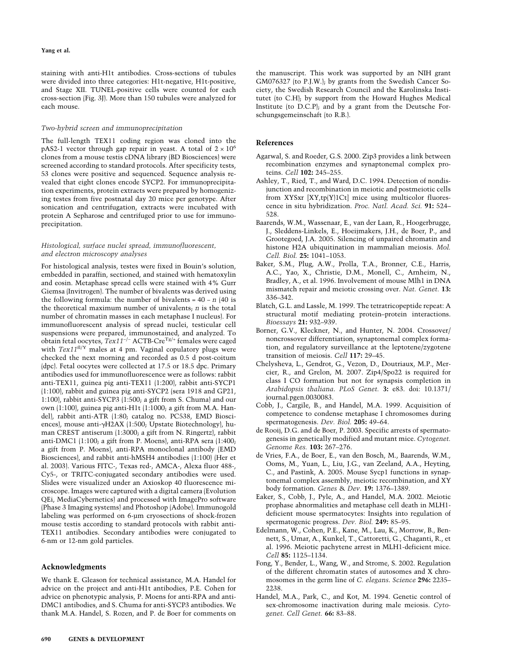staining with anti-H1t antibodies. Cross-sections of tubules were divided into three categories: H1t-negative, H1t-positive, and Stage XII. TUNEL-positive cells were counted for each cross-section (Fig. 3J). More than 150 tubules were analyzed for each mouse.

#### *Two-hybrid screen and immunoprecipitation*

The full-length TEX11 coding region was cloned into the pAS2-1 vector through gap repair in yeast. A total of  $2 \times 10^6$ clones from a mouse testis cDNA library (BD Biosciences) were screened according to standard protocols. After specificity tests, 53 clones were positive and sequenced. Sequence analysis revealed that eight clones encode SYCP2. For immunoprecipitation experiments, protein extracts were prepared by homogenizing testes from five postnatal day 20 mice per genotype. After sonication and centrifugation, extracts were incubated with protein A Sepharose and centrifuged prior to use for immunoprecipitation.

#### *Histological, surface nuclei spread, immunofluorescent, and electron microscopy analyses*

For histological analysis, testes were fixed in Bouin's solution, embedded in paraffin, sectioned, and stained with hematoxylin and eosin. Metaphase spread cells were stained with 4% Gurr Giemsa (Invitrogen). The number of bivalents was derived using the following formula: the number of bivalents = 40 − *n* (40 is the theoretical maximum number of univalents; *n* is the total number of chromatin masses in each metaphase I nucleus). For immunofluorescent analysis of spread nuclei, testicular cell suspensions were prepared, immunostained, and analyzed. To obtain fetal oocytes, *Tex11*−/− ACTB-CreTg/+ females were caged with *Tex11*fl/Y males at 4 pm. Vaginal copulatory plugs were checked the next morning and recorded as 0.5 d post-coitum (dpc). Fetal oocytes were collected at 17.5 or 18.5 dpc. Primary antibodies used for immunofluorescence were as follows: rabbit anti-TEX11, guinea pig anti-TEX11 (1:200), rabbit anti-SYCP1 (1:100), rabbit and guinea pig anti-SYCP2 (sera 1918 and GP21, 1:100), rabbit anti-SYCP3 (1:500; a gift from S. Chuma) and our own (1:100), guinea pig anti-H1t (1:1000; a gift from M.A. Handel), rabbit anti-ATR (1:80; catalog no. PC538, EMD Biosciences), mouse anti- $\gamma$ H2AX (1:500; Upstate Biotechnology), human CREST antiserum (1:3000; a gift from N. Ringertz), rabbit anti-DMC1 (1:100; a gift from P. Moens), anti-RPA sera (1:400; a gift from P. Moens), anti-RPA monoclonal antibody (EMD Biosciences), and rabbit anti-hMSH4 antibodies (1:100) (Her et al. 2003). Various FITC-, Texas red-, AMCA-, Alexa fluor 488-, Cy5-, or TRITC-conjugated secondary antibodies were used. Slides were visualized under an Axioskop 40 fluorescence microscope. Images were captured with a digital camera (Evolution QEi, MediaCybernetics) and processed with ImagePro software (Phase 3 Imaging systems) and Photoshop (Adobe). Immunogold labeling was performed on 6-µm cryosections of shock-frozen mouse testis according to standard protocols with rabbit anti-TEX11 antibodies. Secondary antibodies were conjugated to 6-nm or 12-nm gold particles.

#### **Acknowledgments**

We thank E. Gleason for technical assistance, M.A. Handel for advice on the project and anti-H1t antibodies, P.E. Cohen for advice on phenotypic analysis, P. Moens for anti-RPA and anti-DMC1 antibodies, and S. Chuma for anti-SYCP3 antibodies. We thank M.A. Handel, S. Rozen, and P. de Boer for comments on

the manuscript. This work was supported by an NIH grant GM076327 (to P.J.W.); by grants from the Swedish Cancer Society, the Swedish Research Council and the Karolinska Institutet (to C.H); by support from the Howard Hughes Medical Institute (to D.C.P); and by a grant from the Deutsche Forschungsgemeinschaft (to R.B.).

#### **References**

- Agarwal, S. and Roeder, G.S. 2000. Zip3 provides a link between recombination enzymes and synaptonemal complex proteins. *Cell* **102:** 245–255.
- Ashley, T., Ried, T., and Ward, D.C. 1994. Detection of nondisjunction and recombination in meiotic and postmeiotic cells from XYSxr [XY,tp(Y)1Ct] mice using multicolor fluorescence in situ hybridization. *Proc. Natl. Acad. Sci.* **91:** 524– 528.
- Baarends, W.M., Wassenaar, E., van der Laan, R., Hoogerbrugge, J., Sleddens-Linkels, E., Hoeijmakers, J.H., de Boer, P., and Grootegoed, J.A. 2005. Silencing of unpaired chromatin and histone H2A ubiquitination in mammalian meiosis. *Mol. Cell. Biol.* **25:** 1041–1053.
- Baker, S.M., Plug, A.W., Prolla, T.A., Bronner, C.E., Harris, A.C., Yao, X., Christie, D.M., Monell, C., Arnheim, N., Bradley, A., et al. 1996. Involvement of mouse Mlh1 in DNA mismatch repair and meiotic crossing over. *Nat. Genet.* **13:** 336–342.
- Blatch, G.L. and Lassle, M. 1999. The tetratricopeptide repeat: A structural motif mediating protein–protein interactions. *Bioessays* **21:** 932–939.
- Borner, G.V., Kleckner, N., and Hunter, N. 2004. Crossover/ noncrossover differentiation, synaptonemal complex formation, and regulatory surveillance at the leptotene/zygotene transition of meiosis. *Cell* **117:** 29–45.
- Chelysheva, L., Gendrot, G., Vezon, D., Doutriaux, M.P., Mercier, R., and Grelon, M. 2007. Zip4/Spo22 is required for class I CO formation but not for synapsis completion in *Arabidopsis thaliana*. *PLoS Genet.* **3:** e83. doi: 10.1371/ journal.pgen.0030083.
- Cobb, J., Cargile, B., and Handel, M.A. 1999. Acquisition of competence to condense metaphase I chromosomes during spermatogenesis. *Dev. Biol.* **205:** 49–64.
- de Rooij, D.G. and de Boer, P. 2003. Specific arrests of spermatogenesis in genetically modified and mutant mice. *Cytogenet. Genome Res.* **103:** 267–276.
- de Vries, F.A., de Boer, E., van den Bosch, M., Baarends, W.M., Ooms, M., Yuan, L., Liu, J.G., van Zeeland, A.A., Heyting, C., and Pastink, A. 2005. Mouse Sycp1 functions in synaptonemal complex assembly, meiotic recombination, and XY body formation. *Genes* & *Dev.* **19:** 1376–1389.
- Eaker, S., Cobb, J., Pyle, A., and Handel, M.A. 2002. Meiotic prophase abnormalities and metaphase cell death in MLH1 deficient mouse spermatocytes: Insights into regulation of spermatogenic progress. *Dev. Biol.* **249:** 85–95.
- Edelmann, W., Cohen, P.E., Kane, M., Lau, K., Morrow, B., Bennett, S., Umar, A., Kunkel, T., Cattoretti, G., Chaganti, R., et al. 1996. Meiotic pachytene arrest in MLH1-deficient mice. *Cell* **85:** 1125–1134.
- Fong, Y., Bender, L., Wang, W., and Strome, S. 2002. Regulation of the different chromatin states of autosomes and X chromosomes in the germ line of *C. elegans*. *Science* **296:** 2235– 2238.
- Handel, M.A., Park, C., and Kot, M. 1994. Genetic control of sex-chromosome inactivation during male meiosis. *Cytogenet. Cell Genet.* **66:** 83–88.